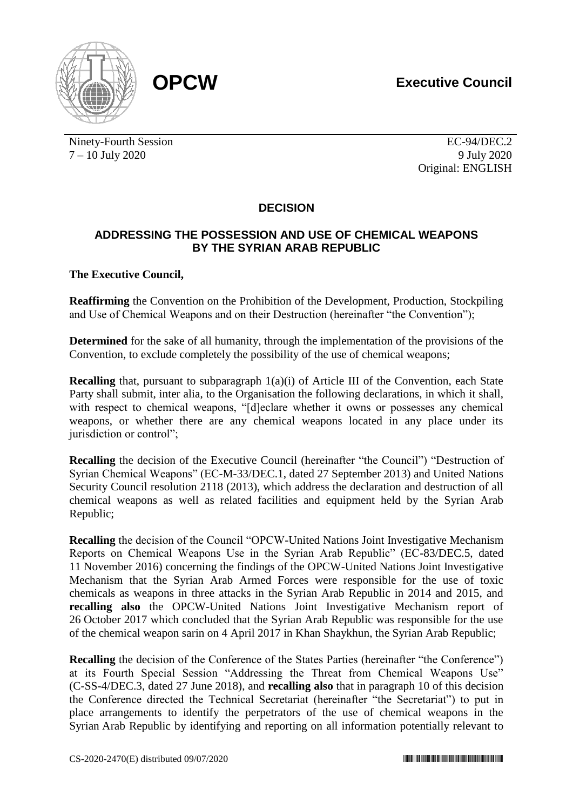**OPCW Executive Council**





Ninety-Fourth Session EC-94/DEC.2  $7 - 10$  July 2020 9 July 2020

Original: ENGLISH

## **DECISION**

## **ADDRESSING THE POSSESSION AND USE OF CHEMICAL WEAPONS BY THE SYRIAN ARAB REPUBLIC**

## **The Executive Council,**

**Reaffirming** the Convention on the Prohibition of the Development, Production, Stockpiling and Use of Chemical Weapons and on their Destruction (hereinafter "the Convention");

**Determined** for the sake of all humanity, through the implementation of the provisions of the Convention, to exclude completely the possibility of the use of chemical weapons;

**Recalling** that, pursuant to subparagraph  $1(a)(i)$  of Article III of the Convention, each State Party shall submit, inter alia, to the Organisation the following declarations, in which it shall, with respect to chemical weapons, "[d]eclare whether it owns or possesses any chemical weapons, or whether there are any chemical weapons located in any place under its jurisdiction or control";

**Recalling** the decision of the Executive Council (hereinafter "the Council") "Destruction of Syrian Chemical Weapons" (EC-M-33/DEC.1, dated 27 September 2013) and United Nations Security Council resolution 2118 (2013), which address the declaration and destruction of all chemical weapons as well as related facilities and equipment held by the Syrian Arab Republic;

**Recalling** the decision of the Council "OPCW-United Nations Joint Investigative Mechanism Reports on Chemical Weapons Use in the Syrian Arab Republic" (EC-83/DEC.5, dated 11 November 2016) concerning the findings of the OPCW-United Nations Joint Investigative Mechanism that the Syrian Arab Armed Forces were responsible for the use of toxic chemicals as weapons in three attacks in the Syrian Arab Republic in 2014 and 2015, and **recalling also** the OPCW-United Nations Joint Investigative Mechanism report of 26 October 2017 which concluded that the Syrian Arab Republic was responsible for the use of the chemical weapon sarin on 4 April 2017 in Khan Shaykhun, the Syrian Arab Republic;

**Recalling** the decision of the Conference of the States Parties (hereinafter "the Conference") at its Fourth Special Session "Addressing the Threat from Chemical Weapons Use" (C-SS-4/DEC.3, dated 27 June 2018), and **recalling also** that in paragraph 10 of this decision the Conference directed the Technical Secretariat (hereinafter "the Secretariat") to put in place arrangements to identify the perpetrators of the use of chemical weapons in the Syrian Arab Republic by identifying and reporting on all information potentially relevant to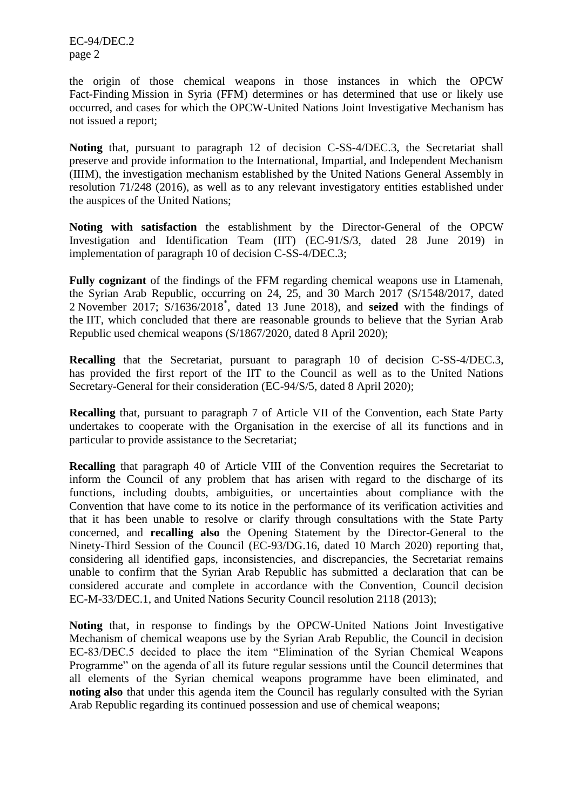EC-94/DEC.2 page 2

the origin of those chemical weapons in those instances in which the OPCW Fact-Finding Mission in Syria (FFM) determines or has determined that use or likely use occurred, and cases for which the OPCW-United Nations Joint Investigative Mechanism has not issued a report;

**Noting** that, pursuant to paragraph 12 of decision C-SS-4/DEC.3, the Secretariat shall preserve and provide information to the International, Impartial, and Independent Mechanism (IIIM), the investigation mechanism established by the United Nations General Assembly in resolution 71/248 (2016), as well as to any relevant investigatory entities established under the auspices of the United Nations;

**Noting with satisfaction** the establishment by the Director-General of the OPCW Investigation and Identification Team (IIT) (EC-91/S/3, dated 28 June 2019) in implementation of paragraph 10 of decision C-SS-4/DEC.3;

**Fully cognizant** of the findings of the FFM regarding chemical weapons use in Ltamenah, the Syrian Arab Republic, occurring on 24, 25, and 30 March 2017 (S/1548/2017, dated 2 November 2017; S/1636/2018\* , dated 13 June 2018), and **seized** with the findings of the IIT, which concluded that there are reasonable grounds to believe that the Syrian Arab Republic used chemical weapons (S/1867/2020, dated 8 April 2020);

**Recalling** that the Secretariat, pursuant to paragraph 10 of decision C-SS-4/DEC.3, has provided the first report of the IIT to the Council as well as to the United Nations Secretary-General for their consideration (EC-94/S/5, dated 8 April 2020);

**Recalling** that, pursuant to paragraph 7 of Article VII of the Convention, each State Party undertakes to cooperate with the Organisation in the exercise of all its functions and in particular to provide assistance to the Secretariat;

**Recalling** that paragraph 40 of Article VIII of the Convention requires the Secretariat to inform the Council of any problem that has arisen with regard to the discharge of its functions, including doubts, ambiguities, or uncertainties about compliance with the Convention that have come to its notice in the performance of its verification activities and that it has been unable to resolve or clarify through consultations with the State Party concerned, and **recalling also** the Opening Statement by the Director-General to the Ninety-Third Session of the Council (EC-93/DG.16, dated 10 March 2020) reporting that, considering all identified gaps, inconsistencies, and discrepancies, the Secretariat remains unable to confirm that the Syrian Arab Republic has submitted a declaration that can be considered accurate and complete in accordance with the Convention, Council decision EC-M-33/DEC.1, and United Nations Security Council resolution 2118 (2013);

**Noting** that, in response to findings by the OPCW-United Nations Joint Investigative Mechanism of chemical weapons use by the Syrian Arab Republic, the Council in decision EC-83/DEC.5 decided to place the item "Elimination of the Syrian Chemical Weapons Programme" on the agenda of all its future regular sessions until the Council determines that all elements of the Syrian chemical weapons programme have been eliminated, and **noting also** that under this agenda item the Council has regularly consulted with the Syrian Arab Republic regarding its continued possession and use of chemical weapons;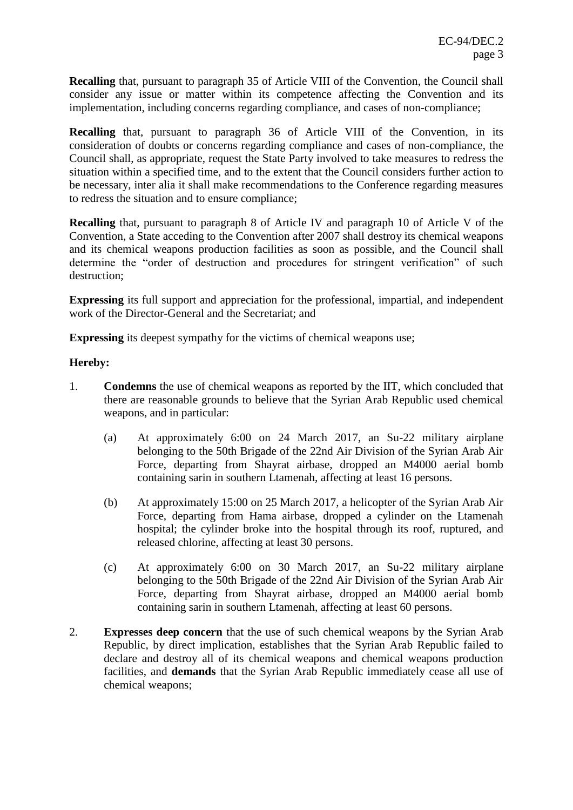**Recalling** that, pursuant to paragraph 35 of Article VIII of the Convention, the Council shall consider any issue or matter within its competence affecting the Convention and its implementation, including concerns regarding compliance, and cases of non-compliance;

**Recalling** that, pursuant to paragraph 36 of Article VIII of the Convention, in its consideration of doubts or concerns regarding compliance and cases of non-compliance, the Council shall, as appropriate, request the State Party involved to take measures to redress the situation within a specified time, and to the extent that the Council considers further action to be necessary, inter alia it shall make recommendations to the Conference regarding measures to redress the situation and to ensure compliance;

**Recalling** that, pursuant to paragraph 8 of Article IV and paragraph 10 of Article V of the Convention, a State acceding to the Convention after 2007 shall destroy its chemical weapons and its chemical weapons production facilities as soon as possible, and the Council shall determine the "order of destruction and procedures for stringent verification" of such destruction;

**Expressing** its full support and appreciation for the professional, impartial, and independent work of the Director-General and the Secretariat; and

**Expressing** its deepest sympathy for the victims of chemical weapons use;

## **Hereby:**

- 1. **Condemns** the use of chemical weapons as reported by the IIT, which concluded that there are reasonable grounds to believe that the Syrian Arab Republic used chemical weapons, and in particular:
	- (a) At approximately 6:00 on 24 March 2017, an Su-22 military airplane belonging to the 50th Brigade of the 22nd Air Division of the Syrian Arab Air Force, departing from Shayrat airbase, dropped an M4000 aerial bomb containing sarin in southern Ltamenah, affecting at least 16 persons.
	- (b) At approximately 15:00 on 25 March 2017, a helicopter of the Syrian Arab Air Force, departing from Hama airbase, dropped a cylinder on the Ltamenah hospital; the cylinder broke into the hospital through its roof, ruptured, and released chlorine, affecting at least 30 persons.
	- (c) At approximately 6:00 on 30 March 2017, an Su-22 military airplane belonging to the 50th Brigade of the 22nd Air Division of the Syrian Arab Air Force, departing from Shayrat airbase, dropped an M4000 aerial bomb containing sarin in southern Ltamenah, affecting at least 60 persons.
- 2. **Expresses deep concern** that the use of such chemical weapons by the Syrian Arab Republic, by direct implication, establishes that the Syrian Arab Republic failed to declare and destroy all of its chemical weapons and chemical weapons production facilities, and **demands** that the Syrian Arab Republic immediately cease all use of chemical weapons;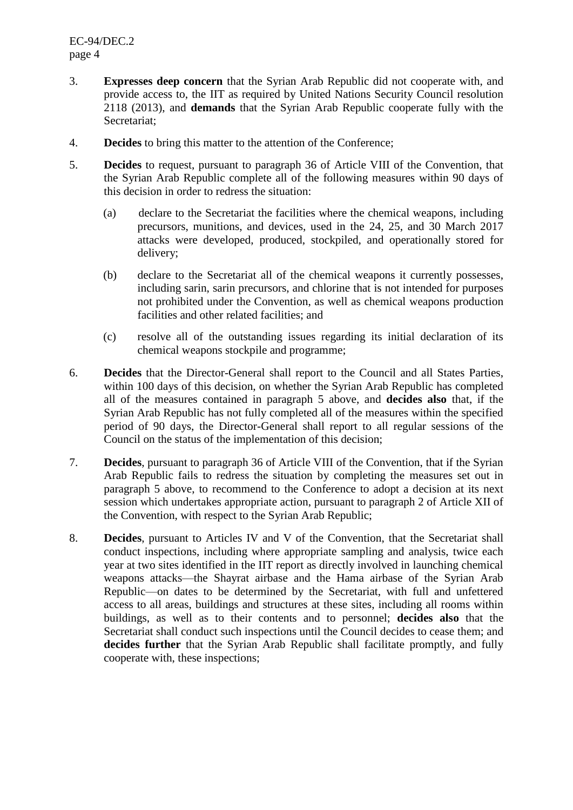- 3. **Expresses deep concern** that the Syrian Arab Republic did not cooperate with, and provide access to, the IIT as required by United Nations Security Council resolution 2118 (2013), and **demands** that the Syrian Arab Republic cooperate fully with the Secretariat;
- 4. **Decides** to bring this matter to the attention of the Conference;
- 5. **Decides** to request, pursuant to paragraph 36 of Article VIII of the Convention, that the Syrian Arab Republic complete all of the following measures within 90 days of this decision in order to redress the situation:
	- (a) declare to the Secretariat the facilities where the chemical weapons, including precursors, munitions, and devices, used in the 24, 25, and 30 March 2017 attacks were developed, produced, stockpiled, and operationally stored for delivery;
	- (b) declare to the Secretariat all of the chemical weapons it currently possesses, including sarin, sarin precursors, and chlorine that is not intended for purposes not prohibited under the Convention, as well as chemical weapons production facilities and other related facilities; and
	- (c) resolve all of the outstanding issues regarding its initial declaration of its chemical weapons stockpile and programme;
- 6. **Decides** that the Director-General shall report to the Council and all States Parties, within 100 days of this decision, on whether the Syrian Arab Republic has completed all of the measures contained in paragraph 5 above, and **decides also** that, if the Syrian Arab Republic has not fully completed all of the measures within the specified period of 90 days, the Director-General shall report to all regular sessions of the Council on the status of the implementation of this decision;
- 7. **Decides**, pursuant to paragraph 36 of Article VIII of the Convention, that if the Syrian Arab Republic fails to redress the situation by completing the measures set out in paragraph 5 above, to recommend to the Conference to adopt a decision at its next session which undertakes appropriate action, pursuant to paragraph 2 of Article XII of the Convention, with respect to the Syrian Arab Republic;
- 8. **Decides**, pursuant to Articles IV and V of the Convention, that the Secretariat shall conduct inspections, including where appropriate sampling and analysis, twice each year at two sites identified in the IIT report as directly involved in launching chemical weapons attacks—the Shayrat airbase and the Hama airbase of the Syrian Arab Republic—on dates to be determined by the Secretariat, with full and unfettered access to all areas, buildings and structures at these sites, including all rooms within buildings, as well as to their contents and to personnel; **decides also** that the Secretariat shall conduct such inspections until the Council decides to cease them; and **decides further** that the Syrian Arab Republic shall facilitate promptly, and fully cooperate with, these inspections;